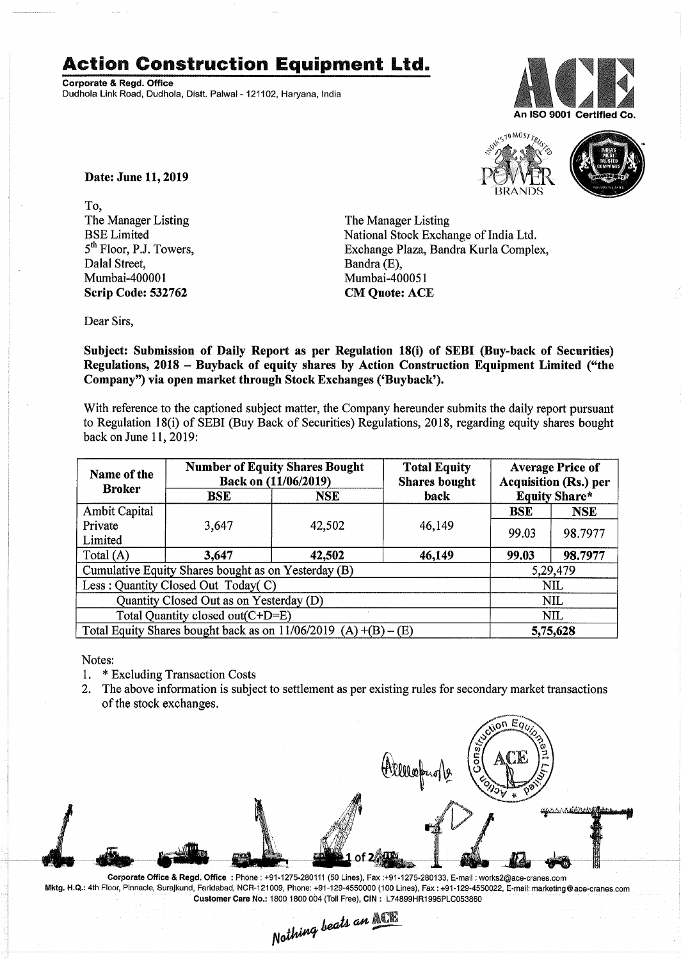## **Action Construction Equipment Ltd.**

Corporate & Regd. Office Dudhola Link Road, Dudhola, Distt. Palwal- 121102, Haryana, India





Date: June 11,2019

To, The Manager Listing BSE Limited 5<sup>th</sup> Floor, P.J. Towers, Dalal Street, Mumbai-400001 Scrip Code: 532762

The Manager Listing National Stock Exchange of India Ltd. Exchange Plaza, Bandra Kurla Complex, Bandra (E), Mumbai-4000S1 CM Quote: ACE

Dear Sirs,

Subject: Submission of Daily Report as per Regulation 18(i) of SEBI (Buy-back of Securities) Regulations, 2018 - Buyback of equity shares by Action Construction Equipment Limited ("the Company") via open market through Stock Exchanges ('Buyback').

With reference to the captioned subject matter, the Company hereunder submits the daily report pursuant to Regulation 18(i) of SEBI (Buy Back of Securities) Regulations, 2018, regarding equity shares bought back on June 11,2019:

| Name of the<br><b>Broker</b>                                      | <b>Number of Equity Shares Bought</b><br>Back on (11/06/2019) |            | <b>Total Equity</b><br><b>Shares bought</b> | <b>Average Price of</b><br><b>Acquisition (Rs.) per</b> |            |  |
|-------------------------------------------------------------------|---------------------------------------------------------------|------------|---------------------------------------------|---------------------------------------------------------|------------|--|
|                                                                   | BSE                                                           | <b>NSE</b> | back                                        | <b>Equity Share*</b>                                    |            |  |
| <b>Ambit Capital</b>                                              |                                                               |            |                                             | <b>BSE</b>                                              | <b>NSE</b> |  |
| Private                                                           | 3,647                                                         | 42,502     | 46,149                                      | 99.03                                                   | 98.7977    |  |
| Limited                                                           |                                                               |            |                                             |                                                         |            |  |
| Total $(A)$                                                       | 3,647                                                         | 42,502     | 46,149                                      | 99.03                                                   | 98.7977    |  |
| Cumulative Equity Shares bought as on Yesterday (B)               |                                                               |            |                                             |                                                         | 5,29,479   |  |
| Less: Quantity Closed Out Today(C)                                |                                                               |            |                                             | <b>NIL</b>                                              |            |  |
| Quantity Closed Out as on Yesterday (D)                           |                                                               |            |                                             | <b>NIL</b>                                              |            |  |
| Total Quantity closed out(C+D=E)                                  |                                                               |            |                                             | <b>NIL</b>                                              |            |  |
| Total Equity Shares bought back as on $11/06/2019$ (A) +(B) – (E) |                                                               |            |                                             | 5,75,628                                                |            |  |

Notes:

- 1. \* Excluding Transaction Costs
- 2. The above information is subject to settlement as per existing rules for secondary market transactions of the stock exchanges.



Corporate Office & Regd. Office: Phone: +91-1275-280111(50 Lines), Fax:+91-1275-280133, E-mail: works2@ace-cranes.com Mktg. H.Q.: 4th Floor, Pinnacle, Surajkund, Faridabad, NCR-121009, Phone: +91-129-4550000 (100 Lines), Fax: +91-129-4550022,E-mail:marketing@ace-cranes.com Customer Care No.: 18001800004 (Toll Free), CIN: L74899HR1995PLC053860

 $N \text{otherwise}$  *n*othing beats an **ACE**